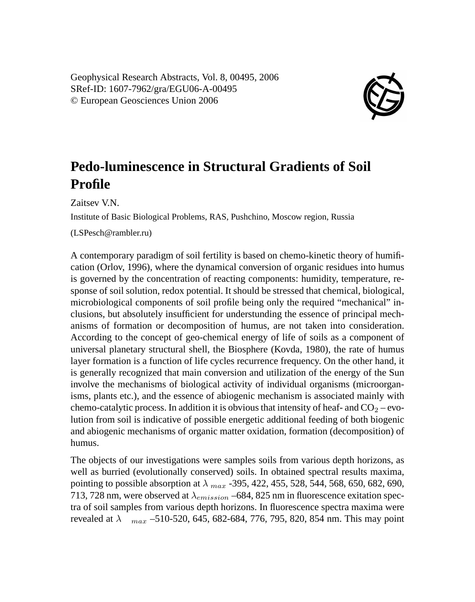Geophysical Research Abstracts, Vol. 8, 00495, 2006 SRef-ID: 1607-7962/gra/EGU06-A-00495 © European Geosciences Union 2006



## **Pedo-luminescence in Structural Gradients of Soil Profile**

Zaitsev V.N.

Institute of Basic Biological Problems, RAS, Pushchino, Moscow region, Russia

(LSPesch@rambler.ru)

A contemporary paradigm of soil fertility is based on chemo-kinetic theory of humification (Orlov, 1996), where the dynamical conversion of organic residues into humus is governed by the concentration of reacting components: humidity, temperature, response of soil solution, redox potential. It should be stressed that chemical, biological, microbiological components of soil profile being only the required "mechanical" inclusions, but absolutely insufficient for understunding the essence of principal mechanisms of formation or decomposition of humus, are not taken into consideration. According to the concept of geo-chemical energy of life of soils as a component of universal planetary structural shell, the Biosphere (Kovda, 1980), the rate of humus layer formation is a function of life cycles recurrence frequency. On the other hand, it is generally recognized that main conversion and utilization of the energy of the Sun involve the mechanisms of biological activity of individual organisms (microorganisms, plants etc.), and the essence of abiogenic mechanism is associated mainly with chemo-catalytic process. In addition it is obvious that intensity of heaf- and  $CO<sub>2</sub> -$  evolution from soil is indicative of possible energetic additional feeding of both biogenic and abiogenic mechanisms of organic matter oxidation, formation (decomposition) of humus.

The objects of our investigations were samples soils from various depth horizons, as well as burried (evolutionally conserved) soils. In obtained spectral results maxima, pointing to possible absorption at  $\lambda_{max}$  -395, 422, 455, 528, 544, 568, 650, 682, 690, 713, 728 nm, were observed at  $\lambda_{emission}$  –684, 825 nm in fluorescence exitation spectra of soil samples from various depth horizons. In fluorescence spectra maxima were revealed at  $\lambda$  max –510-520, 645, 682-684, 776, 795, 820, 854 nm. This may point